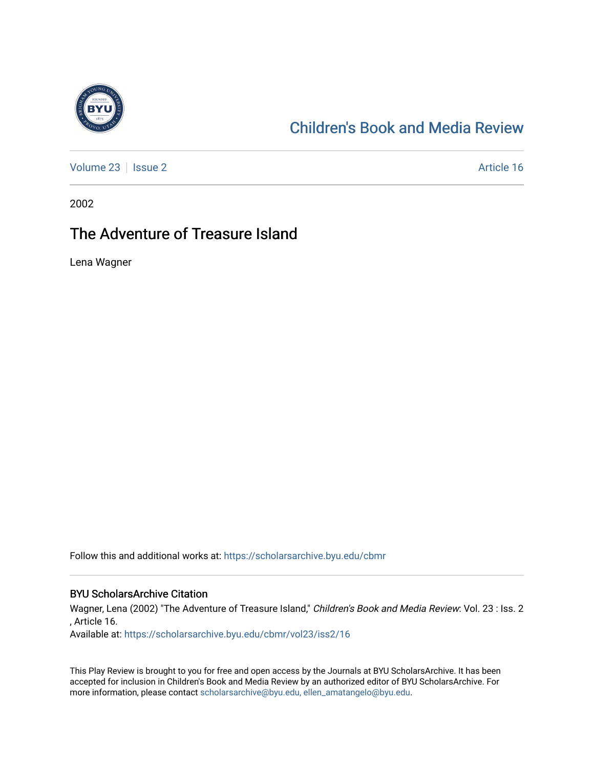

## [Children's Book and Media Review](https://scholarsarchive.byu.edu/cbmr)

[Volume 23](https://scholarsarchive.byu.edu/cbmr/vol23) | [Issue 2](https://scholarsarchive.byu.edu/cbmr/vol23/iss2) Article 16

2002

## The Adventure of Treasure Island

Lena Wagner

Follow this and additional works at: [https://scholarsarchive.byu.edu/cbmr](https://scholarsarchive.byu.edu/cbmr?utm_source=scholarsarchive.byu.edu%2Fcbmr%2Fvol23%2Fiss2%2F16&utm_medium=PDF&utm_campaign=PDFCoverPages) 

## BYU ScholarsArchive Citation

Wagner, Lena (2002) "The Adventure of Treasure Island," Children's Book and Media Review: Vol. 23 : Iss. 2 , Article 16.

Available at: [https://scholarsarchive.byu.edu/cbmr/vol23/iss2/16](https://scholarsarchive.byu.edu/cbmr/vol23/iss2/16?utm_source=scholarsarchive.byu.edu%2Fcbmr%2Fvol23%2Fiss2%2F16&utm_medium=PDF&utm_campaign=PDFCoverPages)

This Play Review is brought to you for free and open access by the Journals at BYU ScholarsArchive. It has been accepted for inclusion in Children's Book and Media Review by an authorized editor of BYU ScholarsArchive. For more information, please contact [scholarsarchive@byu.edu, ellen\\_amatangelo@byu.edu.](mailto:scholarsarchive@byu.edu,%20ellen_amatangelo@byu.edu)